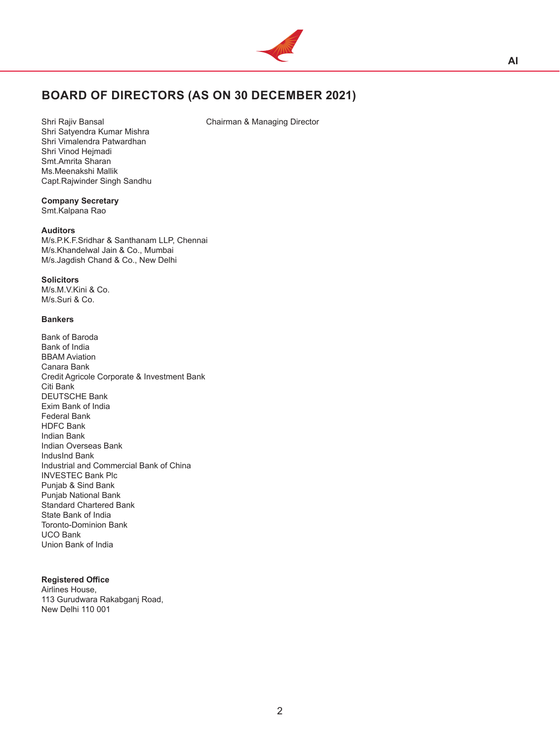

# **BOARD OF DIRECTORS (AS ON 30 DECEMBER 2021)**

Shri Rajiv Bansal **Chairman & Managing Director** 

Shri Satyendra Kumar Mishra Shri Vimalendra Patwardhan Shri Vinod Hejmadi Smt.Amrita Sharan Ms.Meenakshi Mallik Capt.Rajwinder Singh Sandhu

# **Company Secretary**

Smt.Kalpana Rao

### **Auditors**

M/s.P.K.F.Sridhar & Santhanam LLP, Chennai M/s.Khandelwal Jain & Co., Mumbai M/s.Jagdish Chand & Co., New Delhi

#### **Solicitors**

M/s.M.V.Kini & Co. M/s.Suri & Co.

#### **Bankers**

Bank of Baroda Bank of India BBAM Aviation Canara Bank Credit Agricole Corporate & Investment Bank Citi Bank DEUTSCHE Bank Exim Bank of India Federal Bank HDFC Bank Indian Bank Indian Overseas Bank IndusInd Bank Industrial and Commercial Bank of China INVESTEC Bank Plc Punjab & Sind Bank Punjab National Bank Standard Chartered Bank State Bank of India Toronto-Dominion Bank UCO Bank Union Bank of India

#### **Registered Office**

Airlines House, 113 Gurudwara Rakabganj Road, New Delhi 110 001